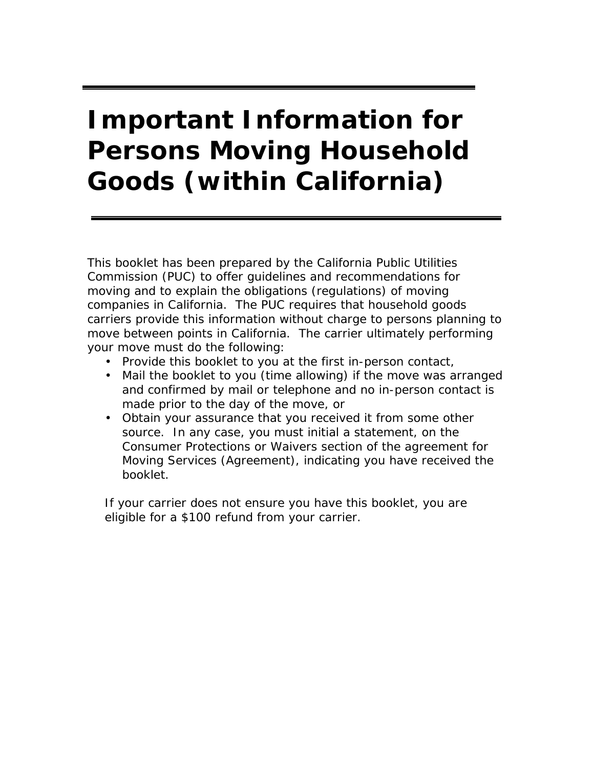# **Important Information for Persons Moving Household Goods (within California)**

This booklet has been prepared by the California Public Utilities Commission (PUC) to offer guidelines and recommendations for moving and to explain the obligations (regulations) of moving companies in California. The PUC requires that household goods carriers provide this information without charge to persons planning to move between points in California. The carrier ultimately performing your move must do the following:

- Provide this booklet to you at the first in-person contact,
- Mail the booklet to you (time allowing) if the move was arranged and confirmed by mail or telephone and no in-person contact is made prior to the day of the move, or
- Obtain your assurance that you received it from some other source. In any case, you must initial a statement, on the Consumer Protections or Waivers section of the agreement for Moving Services (Agreement), indicating you have received the booklet.

If your carrier does not ensure you have this booklet, you are eligible for a \$100 refund from your carrier.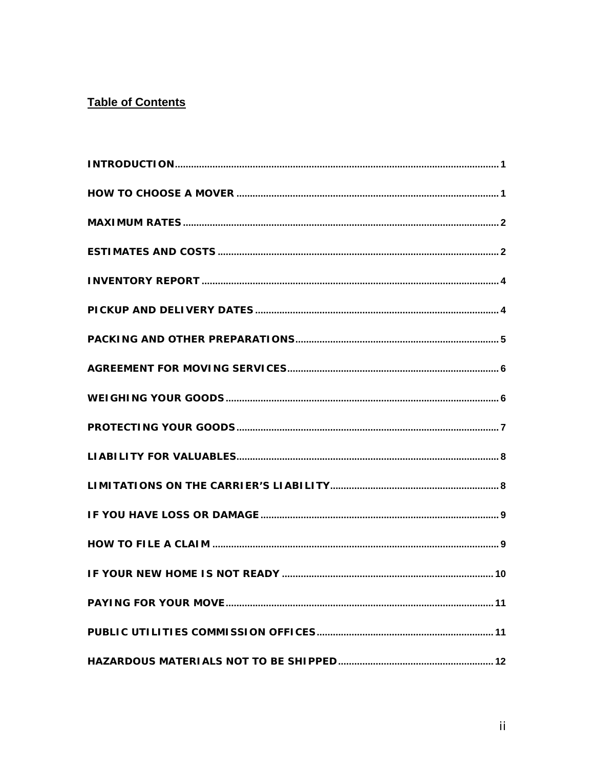## **Table of Contents**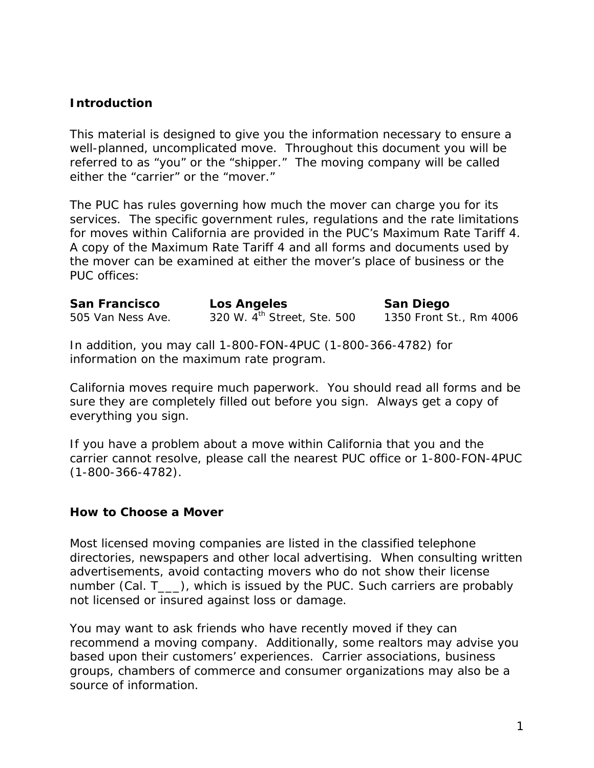## *Introduction*

This material is designed to give you the information necessary to ensure a well-planned, uncomplicated move. Throughout this document you will be referred to as "you" or the "shipper." The moving company will be called either the "carrier" or the "mover."

The PUC has rules governing how much the mover can charge you for its services. The specific government rules, regulations and the rate limitations for moves within California are provided in the PUC's Maximum Rate Tariff 4. A copy of the Maximum Rate Tariff 4 and all forms and documents used by the mover can be examined at either the mover's place of business or the PUC offices:

| San Francisco     | Los Angeles                                                       | San Diego               |
|-------------------|-------------------------------------------------------------------|-------------------------|
| 505 Van Ness Ave. | 320 W. 4 <sup>th</sup> Street, Ste. 500                           | 1350 Front St., Rm 4006 |
|                   | In addition $\mu$ ou may call 1,000 EQN 4DUC (1,000,266,4702) for |                         |

In addition, you may call 1-800-FON-4PUC (1-800-366-4782) for information on the maximum rate program.

California moves require much paperwork. You should read all forms and be sure they are completely filled out before you sign. Always get a copy of everything you sign.

If you have a problem about a move within California that you and the carrier cannot resolve, please call the nearest PUC office or 1-800-FON-4PUC (1-800-366-4782).

### *How to Choose a Mover*

Most licensed moving companies are listed in the classified telephone directories, newspapers and other local advertising. When consulting written advertisements, avoid contacting movers who do not show their license number (Cal. T\_\_\_), which is issued by the PUC. Such carriers are probably not licensed or insured against loss or damage.

You may want to ask friends who have recently moved if they can recommend a moving company. Additionally, some realtors may advise you based upon their customers' experiences. Carrier associations, business groups, chambers of commerce and consumer organizations may also be a source of information.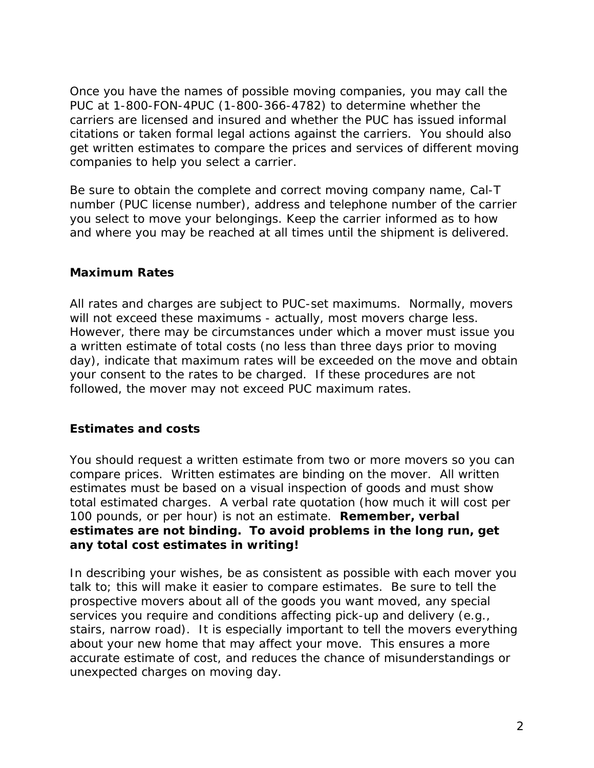Once you have the names of possible moving companies, you may call the PUC at 1-800-FON-4PUC (1-800-366-4782) to determine whether the carriers are licensed and insured and whether the PUC has issued informal citations or taken formal legal actions against the carriers. You should also get written estimates to compare the prices and services of different moving companies to help you select a carrier.

Be sure to obtain the complete and correct moving company name, Cal-T number (PUC license number), address and telephone number of the carrier you select to move your belongings. Keep the carrier informed as to how and where you may be reached at all times until the shipment is delivered.

### *Maximum Rates*

All rates and charges are subject to PUC-set maximums. Normally, movers will not exceed these maximums - actually, most movers charge less. However, there may be circumstances under which a mover must issue you a written estimate of total costs (no less than three days prior to moving day), indicate that maximum rates will be exceeded on the move and obtain your consent to the rates to be charged. If these procedures are not followed, the mover may not exceed PUC maximum rates.

## *Estimates and costs*

You should request a written estimate from two or more movers so you can compare prices. Written estimates are binding on the mover. All written estimates must be based on a visual inspection of goods and must show total estimated charges. A verbal rate quotation (how much it will cost per 100 pounds, or per hour) is not an estimate. **Remember, verbal estimates are not binding. To avoid problems in the long run, get any total cost estimates in writing!** 

In describing your wishes, be as consistent as possible with each mover you talk to; this will make it easier to compare estimates. Be sure to tell the prospective movers about all of the goods you want moved, any special services you require and conditions affecting pick-up and delivery (e.g., stairs, narrow road). It is especially important to tell the movers everything about your new home that may affect your move. This ensures a more accurate estimate of cost, and reduces the chance of misunderstandings or unexpected charges on moving day.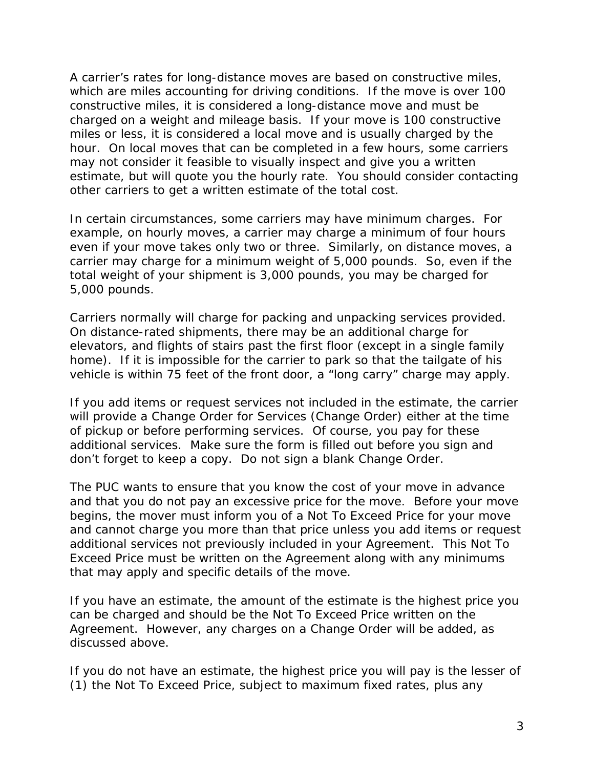A carrier's rates for long-distance moves are based on constructive miles, which are miles accounting for driving conditions. If the move is over 100 constructive miles, it is considered a long-distance move and must be charged on a weight and mileage basis. If your move is 100 constructive miles or less, it is considered a local move and is usually charged by the hour. On local moves that can be completed in a few hours, some carriers may not consider it feasible to visually inspect and give you a written estimate, but will quote you the hourly rate. You should consider contacting other carriers to get a written estimate of the total cost.

In certain circumstances, some carriers may have minimum charges. For example, on hourly moves, a carrier may charge a minimum of four hours even if your move takes only two or three. Similarly, on distance moves, a carrier may charge for a minimum weight of 5,000 pounds. So, even if the total weight of your shipment is 3,000 pounds, you may be charged for 5,000 pounds.

Carriers normally will charge for packing and unpacking services provided. On distance-rated shipments, there may be an additional charge for elevators, and flights of stairs past the first floor (except in a single family home). If it is impossible for the carrier to park so that the tailgate of his vehicle is within 75 feet of the front door, a "long carry" charge may apply.

If you add items or request services not included in the estimate, the carrier will provide a Change Order for Services (Change Order) either at the time of pickup or before performing services. Of course, you pay for these additional services. Make sure the form is filled out before you sign and don't forget to keep a copy. Do not sign a blank Change Order.

The PUC wants to ensure that you know the cost of your move in advance and that you do not pay an excessive price for the move. Before your move begins, the mover must inform you of a Not To Exceed Price for your move and cannot charge you more than that price unless you add items or request additional services not previously included in your Agreement. This Not To Exceed Price must be written on the Agreement along with any minimums that may apply and specific details of the move.

If you have an estimate, the amount of the estimate is the highest price you can be charged and should be the Not To Exceed Price written on the Agreement. However, any charges on a Change Order will be added, as discussed above.

If you do not have an estimate, the highest price you will pay is the lesser of (1) the Not To Exceed Price, subject to maximum fixed rates, plus any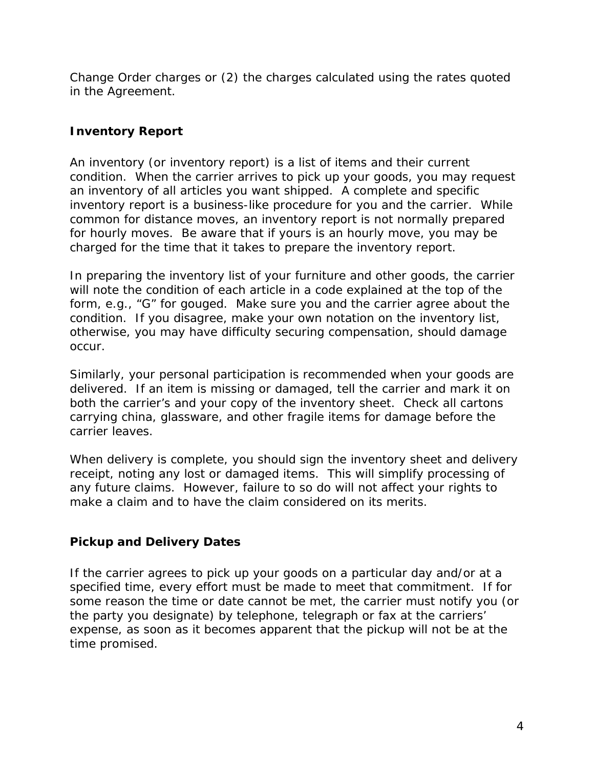Change Order charges or (2) the charges calculated using the rates quoted in the Agreement.

# *Inventory Report*

An inventory (or inventory report) is a list of items and their current condition. When the carrier arrives to pick up your goods, you may request an inventory of all articles you want shipped. A complete and specific inventory report is a business-like procedure for you and the carrier. While common for distance moves, an inventory report is not normally prepared for hourly moves. Be aware that if yours is an hourly move, you may be charged for the time that it takes to prepare the inventory report.

In preparing the inventory list of your furniture and other goods, the carrier will note the condition of each article in a code explained at the top of the form, e.g., "G" for gouged. Make sure you and the carrier agree about the condition. If you disagree, make your own notation on the inventory list, otherwise, you may have difficulty securing compensation, should damage occur.

Similarly, your personal participation is recommended when your goods are delivered. If an item is missing or damaged, tell the carrier and mark it on both the carrier's and your copy of the inventory sheet. Check all cartons carrying china, glassware, and other fragile items for damage before the carrier leaves.

When delivery is complete, you should sign the inventory sheet and delivery receipt, noting any lost or damaged items. This will simplify processing of any future claims. However, failure to so do will not affect your rights to make a claim and to have the claim considered on its merits.

## *Pickup and Delivery Dates*

If the carrier agrees to pick up your goods on a particular day and/or at a specified time, every effort must be made to meet that commitment. If for some reason the time or date cannot be met, the carrier must notify you (or the party you designate) by telephone, telegraph or fax at the carriers' expense, as soon as it becomes apparent that the pickup will not be at the time promised.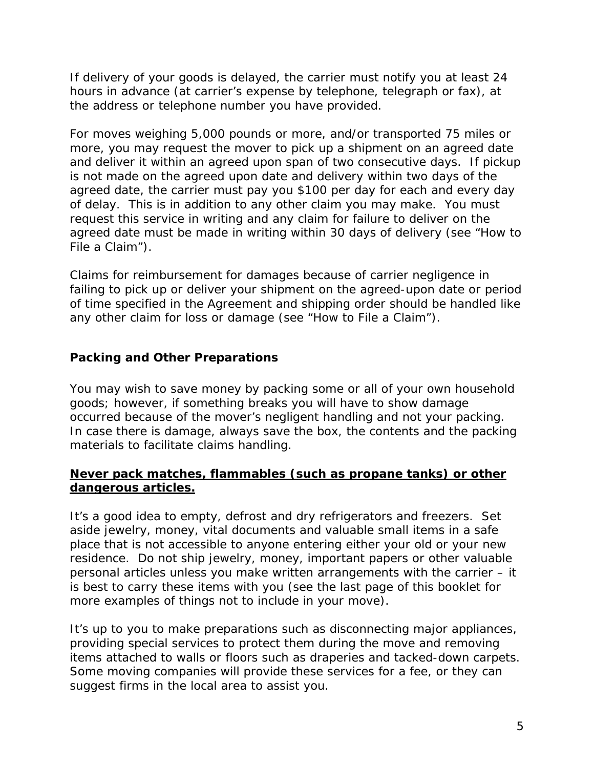If delivery of your goods is delayed, the carrier must notify you at least 24 hours in advance (at carrier's expense by telephone, telegraph or fax), at the address or telephone number you have provided.

For moves weighing 5,000 pounds or more, and/or transported 75 miles or more, you may request the mover to pick up a shipment on an agreed date and deliver it within an agreed upon span of two consecutive days. If pickup is not made on the agreed upon date and delivery within two days of the agreed date, the carrier must pay you \$100 per day for each and every day of delay. This is in addition to any other claim you may make. You must request this service in writing and any claim for failure to deliver on the agreed date must be made in writing within 30 days of delivery (see "How to File a Claim").

Claims for reimbursement for damages because of carrier negligence in failing to pick up or deliver your shipment on the agreed-upon date or period of time specified in the Agreement and shipping order should be handled like any other claim for loss or damage (see "How to File a Claim").

# *Packing and Other Preparations*

You may wish to save money by packing some or all of your own household goods; however, if something breaks you will have to show damage occurred because of the mover's negligent handling and not your packing. In case there is damage, always save the box, the contents and the packing materials to facilitate claims handling.

### **Never pack matches, flammables (such as propane tanks) or other dangerous articles.**

It's a good idea to empty, defrost and dry refrigerators and freezers. Set aside jewelry, money, vital documents and valuable small items in a safe place that is not accessible to anyone entering either your old or your new residence. Do not ship jewelry, money, important papers or other valuable personal articles unless you make written arrangements with the carrier – it is best to carry these items with you (see the last page of this booklet for more examples of things not to include in your move).

It's up to you to make preparations such as disconnecting major appliances, providing special services to protect them during the move and removing items attached to walls or floors such as draperies and tacked-down carpets. Some moving companies will provide these services for a fee, or they can suggest firms in the local area to assist you.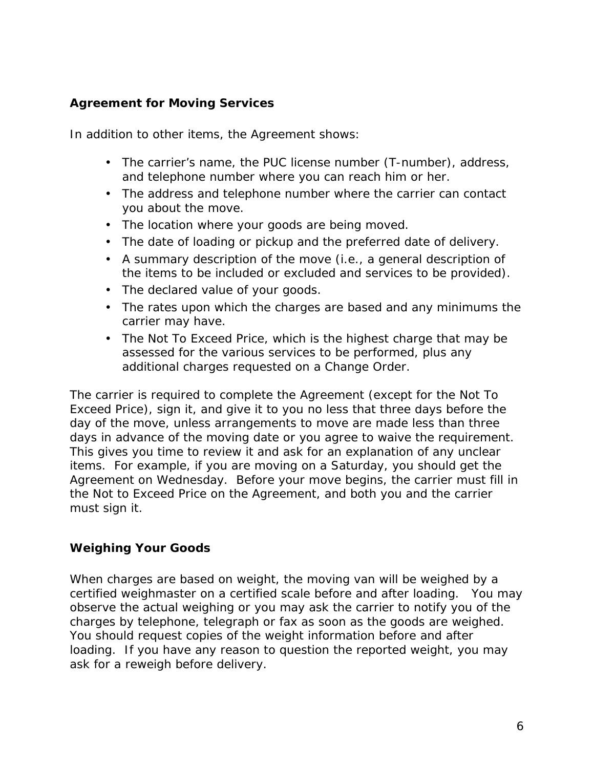## *Agreement for Moving Services*

In addition to other items, the Agreement shows:

- The carrier's name, the PUC license number (T-number), address, and telephone number where you can reach him or her.
- The address and telephone number where the carrier can contact you about the move.
- The location where your goods are being moved.
- The date of loading or pickup and the preferred date of delivery.
- A summary description of the move (i.e., a general description of the items to be included or excluded and services to be provided).
- The declared value of your goods.
- The rates upon which the charges are based and any minimums the carrier may have.
- The Not To Exceed Price, which is the highest charge that may be assessed for the various services to be performed, plus any additional charges requested on a Change Order.

The carrier is required to complete the Agreement (except for the Not To Exceed Price), sign it, and give it to you no less that three days before the day of the move, unless arrangements to move are made less than three days in advance of the moving date or you agree to waive the requirement. This gives you time to review it and ask for an explanation of any unclear items. For example, if you are moving on a Saturday, you should get the Agreement on Wednesday. Before your move begins, the carrier must fill in the Not to Exceed Price on the Agreement, and both you and the carrier must sign it.

## *Weighing Your Goods*

When charges are based on weight, the moving van will be weighed by a certified weighmaster on a certified scale before and after loading. You may observe the actual weighing or you may ask the carrier to notify you of the charges by telephone, telegraph or fax as soon as the goods are weighed. You should request copies of the weight information before and after loading. If you have any reason to question the reported weight, you may ask for a reweigh before delivery.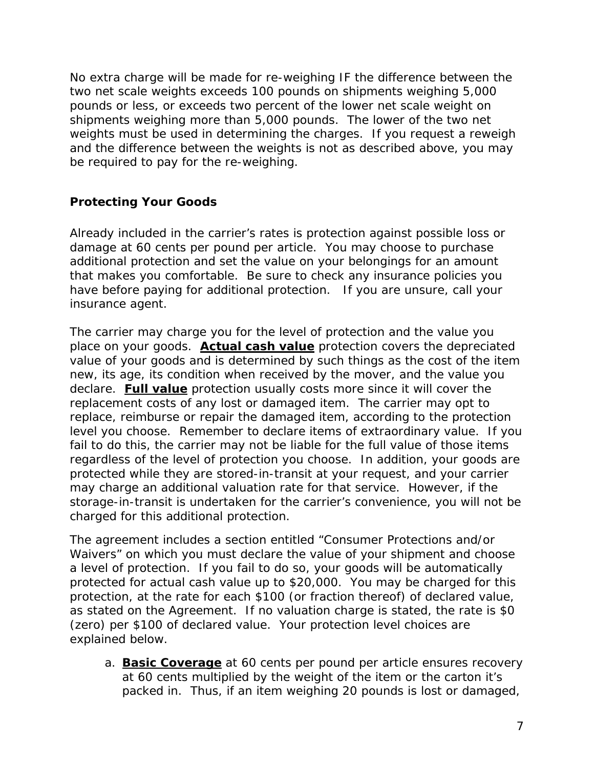No extra charge will be made for re-weighing IF the difference between the two net scale weights exceeds 100 pounds on shipments weighing 5,000 pounds or less, or exceeds two percent of the lower net scale weight on shipments weighing more than 5,000 pounds. The lower of the two net weights must be used in determining the charges. If you request a reweigh and the difference between the weights is not as described above, you may be required to pay for the re-weighing.

# *Protecting Your Goods*

Already included in the carrier's rates is protection against possible loss or damage at 60 cents per pound per article. You may choose to purchase additional protection and set the value on your belongings for an amount that makes you comfortable. Be sure to check any insurance policies you have before paying for additional protection. If you are unsure, call your insurance agent.

The carrier may charge you for the level of protection and the value you place on your goods. **Actual cash value** protection covers the depreciated value of your goods and is determined by such things as the cost of the item new, its age, its condition when received by the mover, and the value you declare. **Full value** protection usually costs more since it will cover the replacement costs of any lost or damaged item. The carrier may opt to replace, reimburse or repair the damaged item, according to the protection level you choose. Remember to declare items of extraordinary value. If you fail to do this, the carrier may not be liable for the full value of those items regardless of the level of protection you choose. In addition, your goods are protected while they are stored-in-transit at your request, and your carrier may charge an additional valuation rate for that service. However, if the storage-in-transit is undertaken for the carrier's convenience, you will not be charged for this additional protection.

The agreement includes a section entitled "Consumer Protections and/or Waivers" on which you must declare the value of your shipment and choose a level of protection. If you fail to do so, your goods will be automatically protected for actual cash value up to \$20,000. You may be charged for this protection, at the rate for each \$100 (or fraction thereof) of declared value, as stated on the Agreement. If no valuation charge is stated, the rate is \$0 (zero) per \$100 of declared value. Your protection level choices are explained below.

a. **Basic Coverage** at 60 cents per pound per article ensures recovery at 60 cents multiplied by the weight of the item or the carton it's packed in. Thus, if an item weighing 20 pounds is lost or damaged,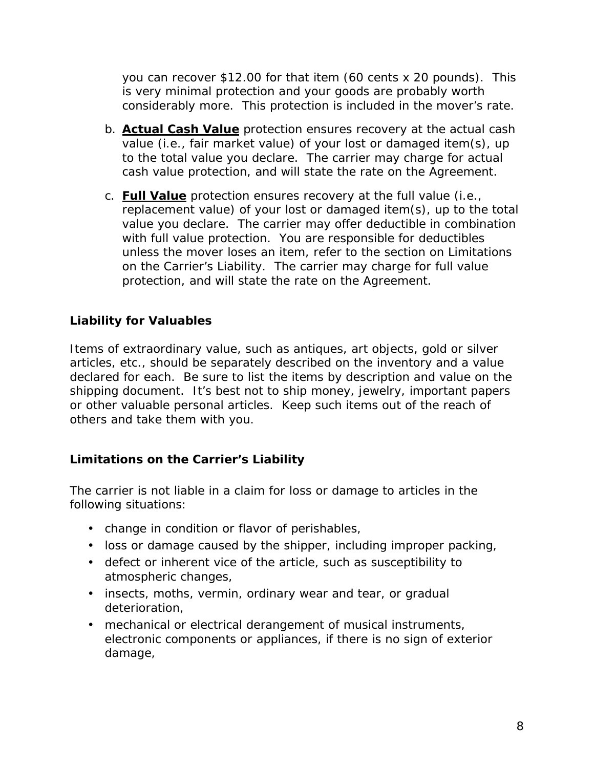you can recover \$12.00 for that item (60 cents x 20 pounds). This is very minimal protection and your goods are probably worth considerably more. This protection is included in the mover's rate.

- b. **Actual Cash Value** protection ensures recovery at the actual cash value (i.e., fair market value) of your lost or damaged item(s), up to the total value you declare. The carrier may charge for actual cash value protection, and will state the rate on the Agreement.
- c. **Full Value** protection ensures recovery at the full value (i.e., replacement value) of your lost or damaged item(s), up to the total value you declare. The carrier may offer deductible in combination with full value protection. You are responsible for deductibles unless the mover loses an item, refer to the section on Limitations on the Carrier's Liability. The carrier may charge for full value protection, and will state the rate on the Agreement.

# *Liability for Valuables*

Items of extraordinary value, such as antiques, art objects, gold or silver articles, etc., should be separately described on the inventory and a value declared for each. Be sure to list the items by description and value on the shipping document. It's best not to ship money, jewelry, important papers or other valuable personal articles. Keep such items out of the reach of others and take them with you.

## *Limitations on the Carrier's Liability*

The carrier is not liable in a claim for loss or damage to articles in the following situations:

- change in condition or flavor of perishables,
- loss or damage caused by the shipper, including improper packing,
- defect or inherent vice of the article, such as susceptibility to atmospheric changes,
- insects, moths, vermin, ordinary wear and tear, or gradual deterioration,
- mechanical or electrical derangement of musical instruments, electronic components or appliances, if there is no sign of exterior damage,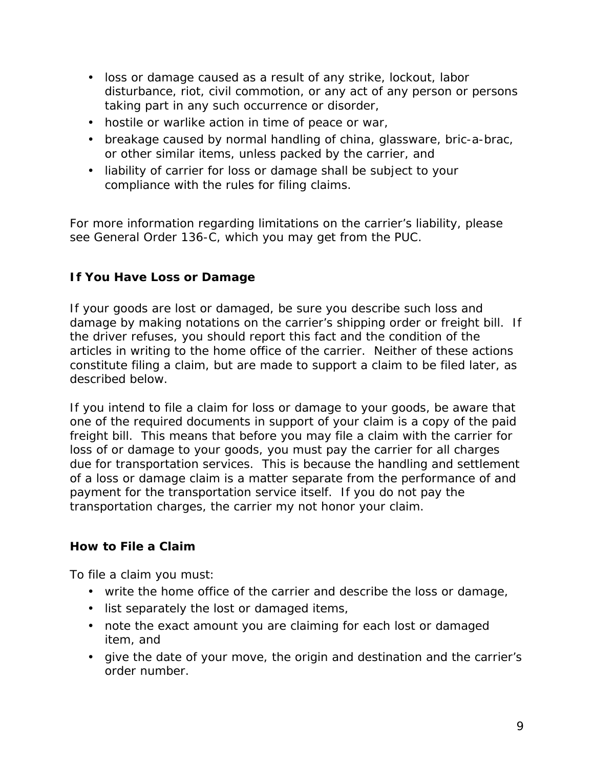- loss or damage caused as a result of any strike, lockout, labor disturbance, riot, civil commotion, or any act of any person or persons taking part in any such occurrence or disorder,
- hostile or warlike action in time of peace or war,
- breakage caused by normal handling of china, glassware, bric-a-brac, or other similar items, unless packed by the carrier, and
- liability of carrier for loss or damage shall be subject to your compliance with the rules for filing claims.

For more information regarding limitations on the carrier's liability, please see General Order 136-C, which you may get from the PUC.

# *If You Have Loss or Damage*

If your goods are lost or damaged, be sure you describe such loss and damage by making notations on the carrier's shipping order or freight bill. If the driver refuses, you should report this fact and the condition of the articles in writing to the home office of the carrier. Neither of these actions constitute filing a claim, but are made to support a claim to be filed later, as described below.

If you intend to file a claim for loss or damage to your goods, be aware that one of the required documents in support of your claim is a copy of the paid freight bill. This means that before you may file a claim with the carrier for loss of or damage to your goods, you must pay the carrier for all charges due for transportation services. This is because the handling and settlement of a loss or damage claim is a matter separate from the performance of and payment for the transportation service itself. If you do not pay the transportation charges, the carrier my not honor your claim.

## *How to File a Claim*

To file a claim you must:

- write the home office of the carrier and describe the loss or damage,
- list separately the lost or damaged items,
- note the exact amount you are claiming for each lost or damaged item, and
- give the date of your move, the origin and destination and the carrier's order number.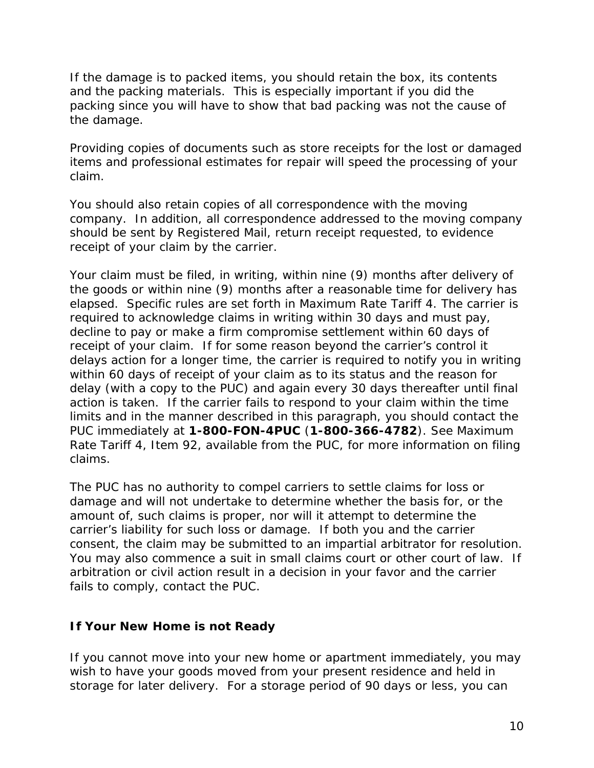If the damage is to packed items, you should retain the box, its contents and the packing materials. This is especially important if you did the packing since you will have to show that bad packing was not the cause of the damage.

Providing copies of documents such as store receipts for the lost or damaged items and professional estimates for repair will speed the processing of your claim.

You should also retain copies of all correspondence with the moving company. In addition, all correspondence addressed to the moving company should be sent by Registered Mail, return receipt requested, to evidence receipt of your claim by the carrier.

Your claim must be filed, in writing, within nine (9) months after delivery of the goods or within nine (9) months after a reasonable time for delivery has elapsed. Specific rules are set forth in Maximum Rate Tariff 4. The carrier is required to acknowledge claims in writing within 30 days and must pay, decline to pay or make a firm compromise settlement within 60 days of receipt of your claim. If for some reason beyond the carrier's control it delays action for a longer time, the carrier is required to notify you in writing within 60 days of receipt of your claim as to its status and the reason for delay (with a copy to the PUC) and again every 30 days thereafter until final action is taken. If the carrier fails to respond to your claim within the time limits and in the manner described in this paragraph, you should contact the PUC immediately at **1-800-FON-4PUC** (**1-800-366-4782**). See Maximum Rate Tariff 4, Item 92, available from the PUC, for more information on filing claims.

The PUC has no authority to compel carriers to settle claims for loss or damage and will not undertake to determine whether the basis for, or the amount of, such claims is proper, nor will it attempt to determine the carrier's liability for such loss or damage. If both you and the carrier consent, the claim may be submitted to an impartial arbitrator for resolution. You may also commence a suit in small claims court or other court of law. If arbitration or civil action result in a decision in your favor and the carrier fails to comply, contact the PUC.

## *If Your New Home is not Ready*

If you cannot move into your new home or apartment immediately, you may wish to have your goods moved from your present residence and held in storage for later delivery. For a storage period of 90 days or less, you can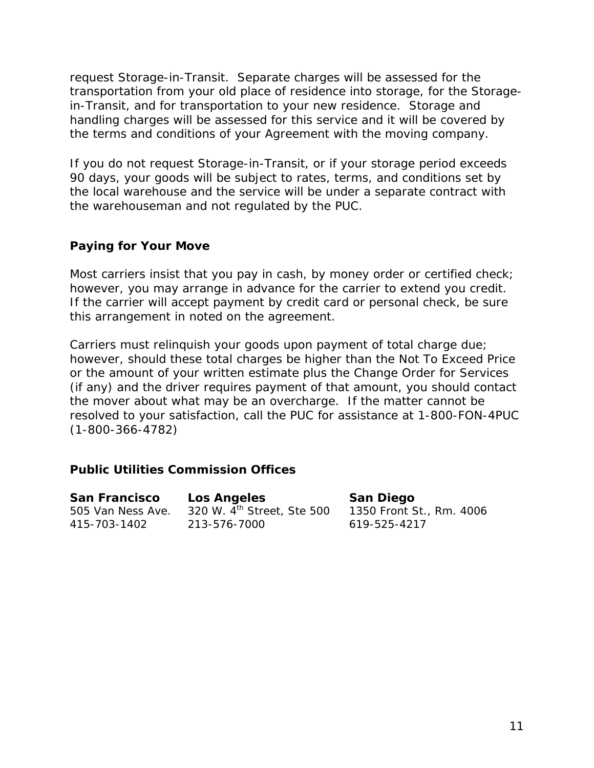request Storage-in-Transit. Separate charges will be assessed for the transportation from your old place of residence into storage, for the Storagein-Transit, and for transportation to your new residence. Storage and handling charges will be assessed for this service and it will be covered by the terms and conditions of your Agreement with the moving company.

If you do not request Storage-in-Transit, or if your storage period exceeds 90 days, your goods will be subject to rates, terms, and conditions set by the local warehouse and the service will be under a separate contract with the warehouseman and not regulated by the PUC.

#### *Paying for Your Move*

Most carriers insist that you pay in cash, by money order or certified check; however, you may arrange in advance for the carrier to extend you credit. If the carrier will accept payment by credit card or personal check, be sure this arrangement in noted on the agreement.

Carriers must relinquish your goods upon payment of total charge due; however, should these total charges be higher than the Not To Exceed Price or the amount of your written estimate plus the Change Order for Services (if any) and the driver requires payment of that amount, you should contact the mover about what may be an overcharge. If the matter cannot be resolved to your satisfaction, call the PUC for assistance at 1-800-FON-4PUC (1-800-366-4782)

### *Public Utilities Commission Offices*

| San Francisco     | Los Angeles                            | San Diego                |
|-------------------|----------------------------------------|--------------------------|
| 505 Van Ness Ave. | 320 W. 4 <sup>th</sup> Street, Ste 500 | 1350 Front St., Rm. 4006 |
| 415-703-1402      | 213-576-7000                           | 619-525-4217             |